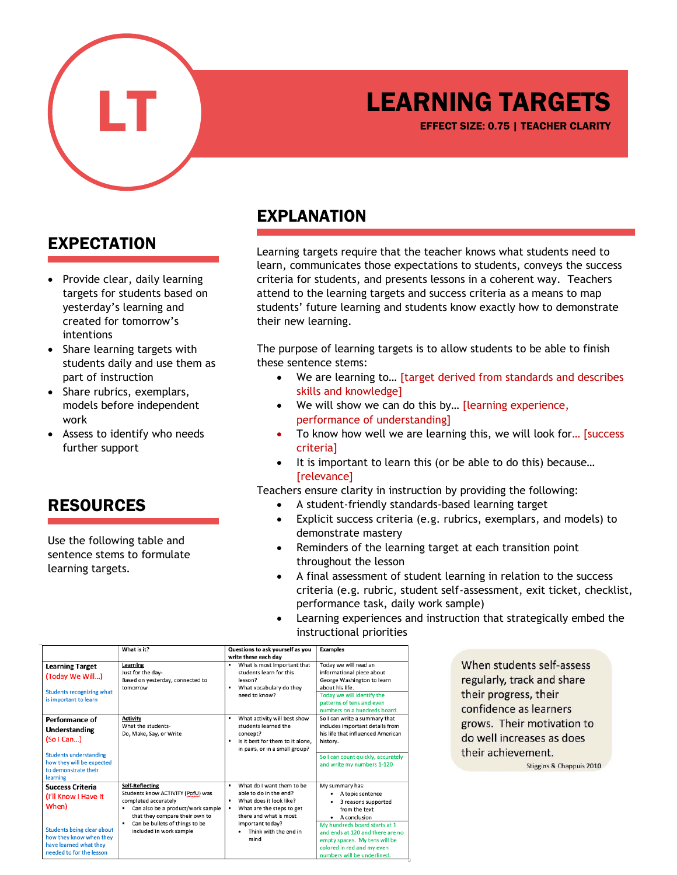

## LEARNING TARGETS

EFFECT SIZE: 0.75 | TEACHER CLARITY

#### EXPECTATION

- Provide clear, daily learning targets for students based on yesterday's learning and created for tomorrow's intentions
- Share learning targets with students daily and use them as part of instruction
- Share rubrics, exemplars, models before independent work
- Assess to identify who needs further support

#### RESOURCES

Use the following table and sentence stems to formulate learning targets.

### EXPLANATION

Learning targets require that the teacher knows what students need to learn, communicates those expectations to students, conveys the success criteria for students, and presents lessons in a coherent way. Teachers attend to the learning targets and success criteria as a means to map students' future learning and students know exactly how to demonstrate their new learning.

The purpose of learning targets is to allow students to be able to finish these sentence stems:

- We are learning to… [target derived from standards and describes skills and knowledge]
- We will show we can do this by… [learning experience, performance of understanding]
- To know how well we are learning this, we will look for... [success] criteria]
- It is important to learn this (or be able to do this) because... [relevance]

Teachers ensure clarity in instruction by providing the following:

- A student-friendly standards-based learning target
- Explicit success criteria (e.g. rubrics, exemplars, and models) to demonstrate mastery
- Reminders of the learning target at each transition point throughout the lesson
- A final assessment of student learning in relation to the success criteria (e.g. rubric, student self-assessment, exit ticket, checklist, performance task, daily work sample)
- Learning experiences and instruction that strategically embed the instructional priorities

|                                                                                                                                                                         | What is it?                                                                                                                                                                                                                       | Questions to ask yourself as you<br>write these each day                                                                                                                                        | <b>Examples</b>                                                                                                                                                                                                                                                |
|-------------------------------------------------------------------------------------------------------------------------------------------------------------------------|-----------------------------------------------------------------------------------------------------------------------------------------------------------------------------------------------------------------------------------|-------------------------------------------------------------------------------------------------------------------------------------------------------------------------------------------------|----------------------------------------------------------------------------------------------------------------------------------------------------------------------------------------------------------------------------------------------------------------|
| <b>Learning Target</b><br>(Today We Will)<br><b>Students recognizing what</b><br>is important to learn                                                                  | Learning<br>Just for the day-<br>Based on yesterday, connected to<br>tomorrow                                                                                                                                                     | What is most important that<br>students learn for this<br>lesson?<br>What vocabulary do they<br>need to know?                                                                                   | Todav we will read an<br>informational piece about<br>George Washington to learn<br>about his life.<br>Today we will identify the<br>patterns of tens and even<br>numbers on a hundreds board.                                                                 |
| Performance of<br>Understanding<br>(So I Can)<br><b>Students understanding</b><br>how they will be expected<br>to demonstrate their<br>learning                         | <b>Activity</b><br>What the students-<br>Do, Make, Say, or Write                                                                                                                                                                  | What activity will best show<br>٠<br>students learned the<br>concept?<br>Is it best for them to it alone.<br>٠<br>in pairs, or in a small group?                                                | So I can write a summary that<br>includes important details from<br>his life that influenced American<br>history.<br>So I can count quickly, accurately<br>and write my numbers 1-120                                                                          |
| <b>Success Criteria</b><br>(I'll Know I Have It<br>When)<br>Students being clear about<br>how they know when they<br>have learned what they<br>needed to for the lesson | <b>Self-Reflecting</b><br>Students know ACTIVITY (PofU) was<br>completed accurately<br>Can also be a product/work sample<br>۰<br>that they compare their own to<br>Can be bullets of things to be<br>٠<br>included in work sample | What do I want them to be<br>able to do in the end?<br>What does it look like?<br>٠<br>What are the steps to get<br>there and what is most<br>important today?<br>Think with the end in<br>mind | My summary has:<br>A topic sentence<br>3 reasons supported<br>from the text<br>A conclusion<br>My hundreds board starts at 1<br>and ends at 120 and there are no<br>empty spaces. My tens will be<br>colored in red and my even<br>numbers will be underlined. |

When students self-assess regularly, track and share their progress, their confidence as learners grows. Their motivation to do well increases as does their achievement.

Stiggins & Chappuis 2010